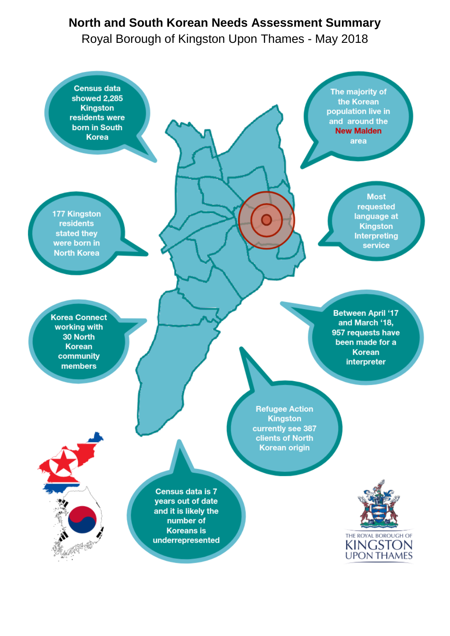# **North and South Korean Needs Assessment Summary**

Royal Borough of Kingston Upon Thames - May 2018

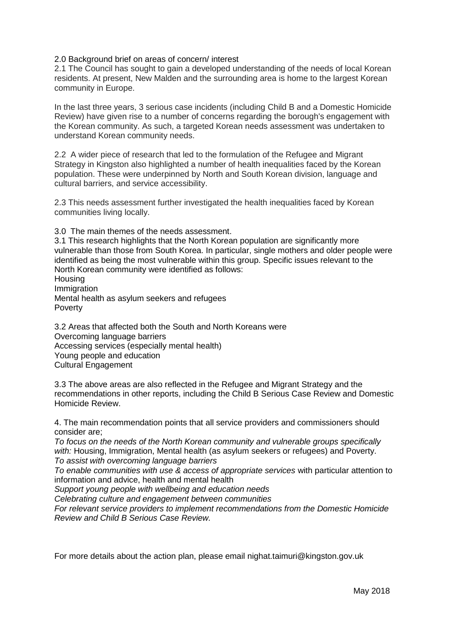2.0 Background brief on areas of concern/ interest

2.1 The Council has sought to gain a developed understanding of the needs of local Korean residents. At present, New Malden and the surrounding area is home to the largest Korean community in Europe.

In the last three years, 3 serious case incidents (including Child B and a Domestic Homicide Review) have given rise to a number of concerns regarding the borough's engagement with the Korean community. As such, a targeted Korean needs assessment was undertaken to understand Korean community needs.

2.2 A wider piece of research that led to the formulation of the Refugee and Migrant Strategy in Kingston also highlighted a number of health inequalities faced by the Korean population. These were underpinned by North and South Korean division, language and cultural barriers, and service accessibility.

2.3 This needs assessment further investigated the health inequalities faced by Korean communities living locally.

3.0 The main themes of the needs assessment.

3.1 This research highlights that the North Korean population are significantly more vulnerable than those from South Korea. In particular, single mothers and older people were identified as being the most vulnerable within this group. Specific issues relevant to the North Korean community were identified as follows:

**Housing Immigration** Mental health as asylum seekers and refugees Poverty

3.2 Areas that affected both the South and North Koreans were Overcoming language barriers Accessing services (especially mental health) Young people and education Cultural Engagement

3.3 The above areas are also reflected in the Refugee and Migrant Strategy and the recommendations in other reports, including the Child B Serious Case Review and Domestic Homicide Review.

4. The main recommendation points that all service providers and commissioners should consider are;

*To focus on the needs of the North Korean community and vulnerable groups specifically with:* Housing, Immigration, Mental health (as asylum seekers or refugees) and Poverty. *To assist with overcoming language barriers*

*To enable communities with use & access of appropriate services* with particular attention to information and advice, health and mental health

*Support young people with wellbeing and education needs*

*Celebrating culture and engagement between communities* 

*For relevant service providers to implement recommendations from the Domestic Homicide Review and Child B Serious Case Review.* 

For more details about the action plan, please email [nighat.taimuri@kingston.gov.uk](mailto:nighat.taimuri@kingston.gov.uk)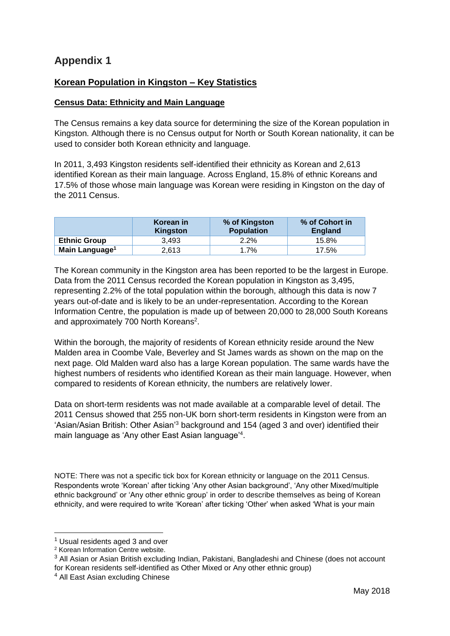## **Appendix 1**

### **Korean Population in Kingston – Key Statistics**

#### **Census Data: Ethnicity and Main Language**

The Census remains a key data source for determining the size of the Korean population in Kingston. Although there is no Census output for North or South Korean nationality, it can be used to consider both Korean ethnicity and language.

In 2011, 3,493 Kingston residents self-identified their ethnicity as Korean and 2,613 identified Korean as their main language. Across England, 15.8% of ethnic Koreans and 17.5% of those whose main language was Korean were residing in Kingston on the day of the 2011 Census.

|                            | Korean in<br>Kingston | % of Kingston<br><b>Population</b> | % of Cohort in<br><b>England</b> |
|----------------------------|-----------------------|------------------------------------|----------------------------------|
| <b>Ethnic Group</b>        | 3.493                 | 2.2%                               | 15.8%                            |
| Main Language <sup>1</sup> | 2,613                 | $.7\%$                             | 17.5%                            |

The Korean community in the Kingston area has been reported to be the largest in Europe. Data from the 2011 Census recorded the Korean population in Kingston as 3,495, representing 2.2% of the total population within the borough, although this data is now 7 years out-of-date and is likely to be an under-representation. According to the Korean Information Centre, the population is made up of between 20,000 to 28,000 South Koreans and approximately 700 North Koreans<sup>2</sup>.

Within the borough, the majority of residents of Korean ethnicity reside around the New Malden area in Coombe Vale, Beverley and St James wards as shown on the map on the next page. Old Malden ward also has a large Korean population. The same wards have the highest numbers of residents who identified Korean as their main language. However, when compared to residents of Korean ethnicity, the numbers are relatively lower.

Data on short-term residents was not made available at a comparable level of detail. The 2011 Census showed that 255 non-UK born short-term residents in Kingston were from an 'Asian/Asian British: Other Asian'<sup>3</sup> background and 154 (aged 3 and over) identified their main language as 'Any other East Asian language'<sup>4</sup> .

NOTE: There was not a specific tick box for Korean ethnicity or language on the 2011 Census. Respondents wrote 'Korean' after ticking 'Any other Asian background', 'Any other Mixed/multiple ethnic background' or 'Any other ethnic group' in order to describe themselves as being of Korean ethnicity, and were required to write 'Korean' after ticking 'Other' when asked 'What is your main

-

 $<sup>1</sup>$  Usual residents aged 3 and over</sup>

<sup>2</sup> Korean Information Centre website.

<sup>&</sup>lt;sup>3</sup> All Asian or Asian British excluding Indian, Pakistani, Bangladeshi and Chinese (does not account for Korean residents self-identified as Other Mixed or Any other ethnic group)

<sup>4</sup> All East Asian excluding Chinese